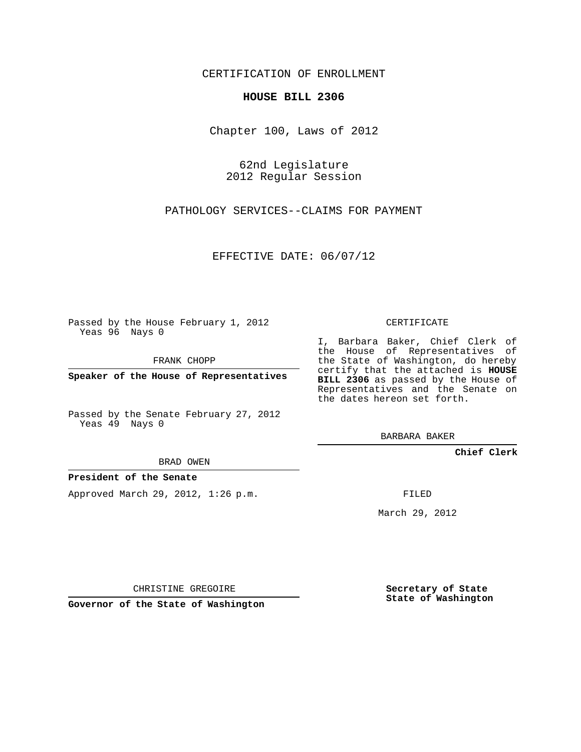## CERTIFICATION OF ENROLLMENT

## **HOUSE BILL 2306**

Chapter 100, Laws of 2012

62nd Legislature 2012 Regular Session

PATHOLOGY SERVICES--CLAIMS FOR PAYMENT

EFFECTIVE DATE: 06/07/12

Passed by the House February 1, 2012 Yeas 96 Nays 0

FRANK CHOPP

**Speaker of the House of Representatives**

Passed by the Senate February 27, 2012 Yeas 49 Nays 0

BRAD OWEN

## **President of the Senate**

Approved March 29, 2012, 1:26 p.m.

CERTIFICATE

I, Barbara Baker, Chief Clerk of the House of Representatives of the State of Washington, do hereby certify that the attached is **HOUSE BILL 2306** as passed by the House of Representatives and the Senate on the dates hereon set forth.

BARBARA BAKER

**Chief Clerk**

FILED

March 29, 2012

CHRISTINE GREGOIRE

**Governor of the State of Washington**

**Secretary of State State of Washington**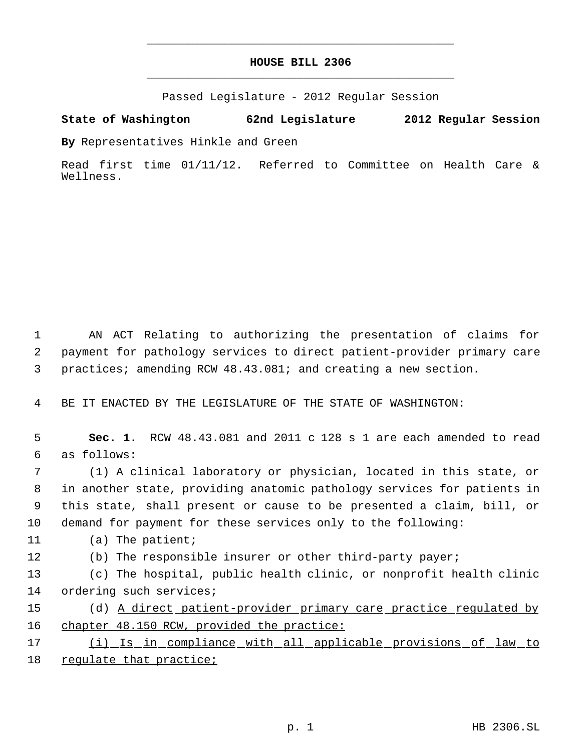## **HOUSE BILL 2306** \_\_\_\_\_\_\_\_\_\_\_\_\_\_\_\_\_\_\_\_\_\_\_\_\_\_\_\_\_\_\_\_\_\_\_\_\_\_\_\_\_\_\_\_\_

\_\_\_\_\_\_\_\_\_\_\_\_\_\_\_\_\_\_\_\_\_\_\_\_\_\_\_\_\_\_\_\_\_\_\_\_\_\_\_\_\_\_\_\_\_

Passed Legislature - 2012 Regular Session

**State of Washington 62nd Legislature 2012 Regular Session**

**By** Representatives Hinkle and Green

Read first time 01/11/12. Referred to Committee on Health Care & Wellness.

 1 AN ACT Relating to authorizing the presentation of claims for 2 payment for pathology services to direct patient-provider primary care 3 practices; amending RCW 48.43.081; and creating a new section.

4 BE IT ENACTED BY THE LEGISLATURE OF THE STATE OF WASHINGTON:

 5 **Sec. 1.** RCW 48.43.081 and 2011 c 128 s 1 are each amended to read 6 as follows:

 (1) A clinical laboratory or physician, located in this state, or in another state, providing anatomic pathology services for patients in this state, shall present or cause to be presented a claim, bill, or demand for payment for these services only to the following:

11 (a) The patient;

12 (b) The responsible insurer or other third-party payer;

13 (c) The hospital, public health clinic, or nonprofit health clinic 14 ordering such services;

15 (d) A direct patient-provider primary care practice regulated by 16 chapter 48.150 RCW, provided the practice:

17 (i) Is in compliance with all applicable provisions of law to 18 regulate that practice;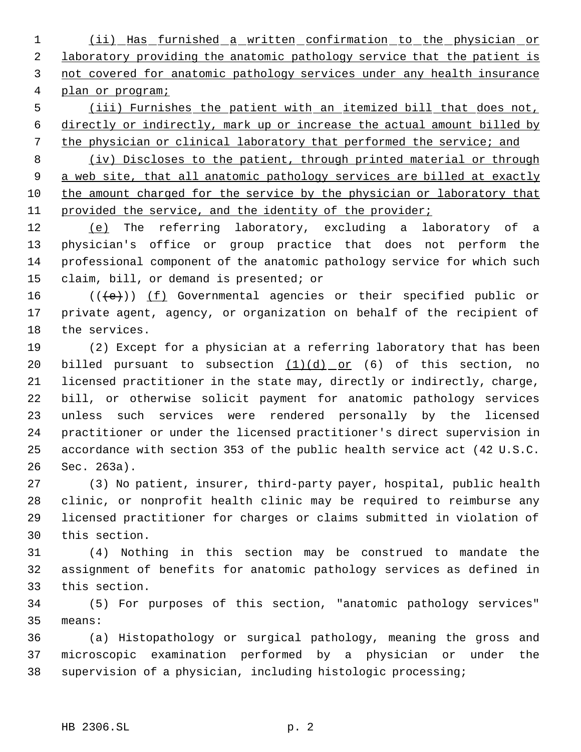(ii) Has furnished a written confirmation to the physician or 2 laboratory providing the anatomic pathology service that the patient is not covered for anatomic pathology services under any health insurance plan or program;

 (iii) Furnishes the patient with an itemized bill that does not, directly or indirectly, mark up or increase the actual amount billed by 7 the physician or clinical laboratory that performed the service; and

8 (iv) Discloses to the patient, through printed material or through 9 a web site, that all anatomic pathology services are billed at exactly the amount charged for the service by the physician or laboratory that provided the service, and the identity of the provider;

 (e) The referring laboratory, excluding a laboratory of a physician's office or group practice that does not perform the professional component of the anatomic pathology service for which such claim, bill, or demand is presented; or

16 ( $(\langle e \rangle)$ ) (f) Governmental agencies or their specified public or private agent, agency, or organization on behalf of the recipient of the services.

 (2) Except for a physician at a referring laboratory that has been 20 billed pursuant to subsection  $(1)(d)$  or (6) of this section, no licensed practitioner in the state may, directly or indirectly, charge, bill, or otherwise solicit payment for anatomic pathology services unless such services were rendered personally by the licensed practitioner or under the licensed practitioner's direct supervision in accordance with section 353 of the public health service act (42 U.S.C. Sec. 263a).

 (3) No patient, insurer, third-party payer, hospital, public health clinic, or nonprofit health clinic may be required to reimburse any licensed practitioner for charges or claims submitted in violation of this section.

 (4) Nothing in this section may be construed to mandate the assignment of benefits for anatomic pathology services as defined in this section.

 (5) For purposes of this section, "anatomic pathology services" means:

 (a) Histopathology or surgical pathology, meaning the gross and microscopic examination performed by a physician or under the supervision of a physician, including histologic processing;